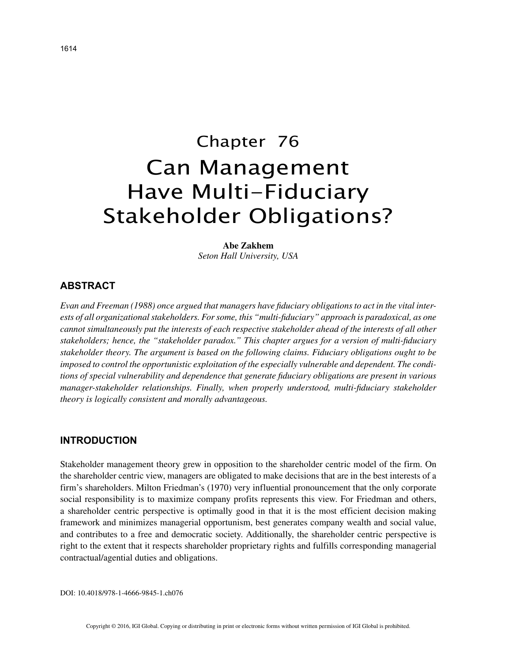# Chapter 76 Can Management Have Multi-Fiduciary Stakeholder Obligations?

**Abe Zakhem** *Seton Hall University, USA*

# **ABSTRACT**

*Evan and Freeman (1988) once argued that managers have fiduciary obligations to act in the vital interests of all organizational stakeholders. For some, this "multi-fiduciary" approach is paradoxical, as one cannot simultaneously put the interests of each respective stakeholder ahead of the interests of all other stakeholders; hence, the "stakeholder paradox." This chapter argues for a version of multi-fiduciary stakeholder theory. The argument is based on the following claims. Fiduciary obligations ought to be imposed to control the opportunistic exploitation of the especially vulnerable and dependent. The conditions of special vulnerability and dependence that generate fiduciary obligations are present in various manager-stakeholder relationships. Finally, when properly understood, multi-fiduciary stakeholder theory is logically consistent and morally advantageous.*

# **INTRODUCTION**

Stakeholder management theory grew in opposition to the shareholder centric model of the firm. On the shareholder centric view, managers are obligated to make decisions that are in the best interests of a firm's shareholders. Milton Friedman's (1970) very influential pronouncement that the only corporate social responsibility is to maximize company profits represents this view. For Friedman and others, a shareholder centric perspective is optimally good in that it is the most efficient decision making framework and minimizes managerial opportunism, best generates company wealth and social value, and contributes to a free and democratic society. Additionally, the shareholder centric perspective is right to the extent that it respects shareholder proprietary rights and fulfills corresponding managerial contractual/agential duties and obligations.

DOI: 10.4018/978-1-4666-9845-1.ch076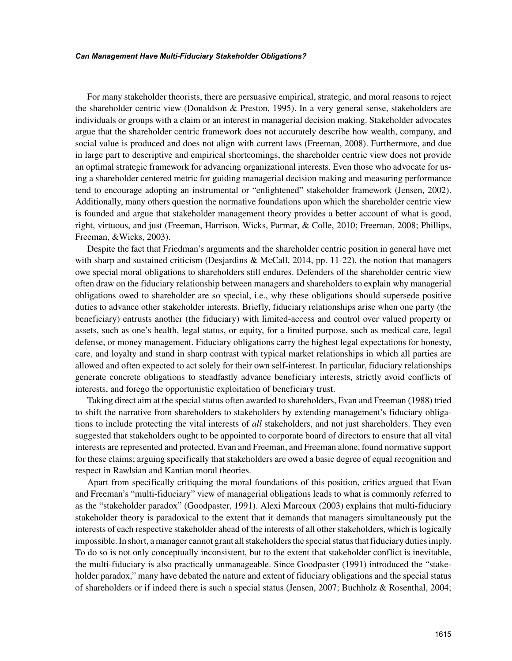#### *Can Management Have Multi-Fiduciary Stakeholder Obligations?*

For many stakeholder theorists, there are persuasive empirical, strategic, and moral reasons to reject the shareholder centric view (Donaldson & Preston, 1995). In a very general sense, stakeholders are individuals or groups with a claim or an interest in managerial decision making. Stakeholder advocates argue that the shareholder centric framework does not accurately describe how wealth, company, and social value is produced and does not align with current laws (Freeman, 2008). Furthermore, and due in large part to descriptive and empirical shortcomings, the shareholder centric view does not provide an optimal strategic framework for advancing organizational interests. Even those who advocate for using a shareholder centered metric for guiding managerial decision making and measuring performance tend to encourage adopting an instrumental or "enlightened" stakeholder framework (Jensen, 2002). Additionally, many others question the normative foundations upon which the shareholder centric view is founded and argue that stakeholder management theory provides a better account of what is good, right, virtuous, and just (Freeman, Harrison, Wicks, Parmar, & Colle, 2010; Freeman, 2008; Phillips, Freeman, &Wicks, 2003).

Despite the fact that Friedman's arguments and the shareholder centric position in general have met with sharp and sustained criticism (Desjardins & McCall, 2014, pp. 11-22), the notion that managers owe special moral obligations to shareholders still endures. Defenders of the shareholder centric view often draw on the fiduciary relationship between managers and shareholders to explain why managerial obligations owed to shareholder are so special, i.e., why these obligations should supersede positive duties to advance other stakeholder interests. Briefly, fiduciary relationships arise when one party (the beneficiary) entrusts another (the fiduciary) with limited-access and control over valued property or assets, such as one's health, legal status, or equity, for a limited purpose, such as medical care, legal defense, or money management. Fiduciary obligations carry the highest legal expectations for honesty, care, and loyalty and stand in sharp contrast with typical market relationships in which all parties are allowed and often expected to act solely for their own self-interest. In particular, fiduciary relationships generate concrete obligations to steadfastly advance beneficiary interests, strictly avoid conflicts of interests, and forego the opportunistic exploitation of beneficiary trust.

Taking direct aim at the special status often awarded to shareholders, Evan and Freeman (1988) tried to shift the narrative from shareholders to stakeholders by extending management's fiduciary obligations to include protecting the vital interests of *all* stakeholders, and not just shareholders. They even suggested that stakeholders ought to be appointed to corporate board of directors to ensure that all vital interests are represented and protected. Evan and Freeman, and Freeman alone, found normative support for these claims; arguing specifically that stakeholders are owed a basic degree of equal recognition and respect in Rawlsian and Kantian moral theories.

Apart from specifically critiquing the moral foundations of this position, critics argued that Evan and Freeman's "multi-fiduciary" view of managerial obligations leads to what is commonly referred to as the "stakeholder paradox" (Goodpaster, 1991). Alexi Marcoux (2003) explains that multi-fiduciary stakeholder theory is paradoxical to the extent that it demands that managers simultaneously put the interests of each respective stakeholder ahead of the interests of all other stakeholders, which is logically impossible. In short, a manager cannot grant all stakeholders the special status that fiduciary duties imply. To do so is not only conceptually inconsistent, but to the extent that stakeholder conflict is inevitable, the multi-fiduciary is also practically unmanageable. Since Goodpaster (1991) introduced the "stakeholder paradox," many have debated the nature and extent of fiduciary obligations and the special status of shareholders or if indeed there is such a special status (Jensen, 2007; Buchholz & Rosenthal, 2004;